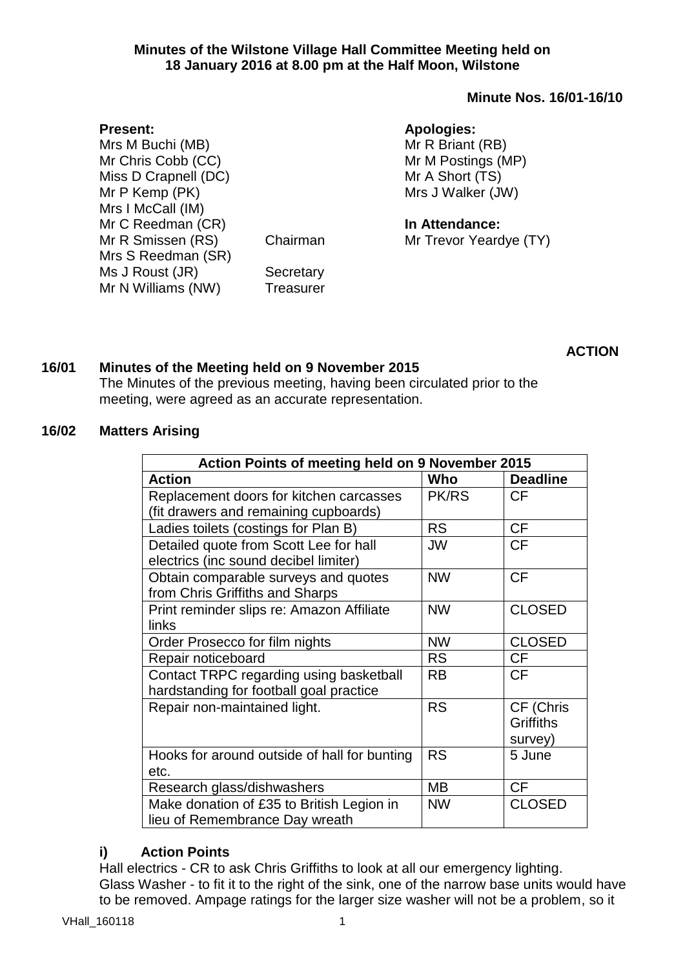### **Minutes of the Wilstone Village Hall Committee Meeting held on 18 January 2016 at 8.00 pm at the Half Moon, Wilstone**

# **Minute Nos. 16/01-16/10**

# **Apologies:**

Mr R Briant (RB) Mr M Postings (MP) Mr A Short (TS) Mrs J Walker (JW)

**In Attendance:**

Mr Trevor Yeardye (TY)

Secretary **Treasurer** 

Chairman

# **ACTION**

# **16/01 Minutes of the Meeting held on 9 November 2015**

The Minutes of the previous meeting, having been circulated prior to the meeting, were agreed as an accurate representation.

### **16/02 Matters Arising**

| Action Points of meeting held on 9 November 2015 |              |                 |  |  |
|--------------------------------------------------|--------------|-----------------|--|--|
| <b>Action</b>                                    | Who          | <b>Deadline</b> |  |  |
| Replacement doors for kitchen carcasses          | <b>PK/RS</b> | <b>CF</b>       |  |  |
| (fit drawers and remaining cupboards)            |              |                 |  |  |
| Ladies toilets (costings for Plan B)             | <b>RS</b>    | <b>CF</b>       |  |  |
| Detailed quote from Scott Lee for hall           | JW           | <b>CF</b>       |  |  |
| electrics (inc sound decibel limiter)            |              |                 |  |  |
| Obtain comparable surveys and quotes             | <b>NW</b>    | <b>CF</b>       |  |  |
| from Chris Griffiths and Sharps                  |              |                 |  |  |
| Print reminder slips re: Amazon Affiliate        | <b>NW</b>    | <b>CLOSED</b>   |  |  |
| links                                            |              |                 |  |  |
| Order Prosecco for film nights                   | <b>NW</b>    | <b>CLOSED</b>   |  |  |
| Repair noticeboard                               | <b>RS</b>    | <b>CF</b>       |  |  |
| Contact TRPC regarding using basketball          | <b>RB</b>    | <b>CF</b>       |  |  |
| hardstanding for football goal practice          |              |                 |  |  |
| Repair non-maintained light.                     | <b>RS</b>    | CF (Chris       |  |  |
|                                                  |              | Griffiths       |  |  |
|                                                  |              | survey)         |  |  |
| Hooks for around outside of hall for bunting     | <b>RS</b>    | 5 June          |  |  |
| etc.                                             |              |                 |  |  |
| Research glass/dishwashers                       | MВ           | <b>CF</b>       |  |  |
| Make donation of £35 to British Legion in        | <b>NW</b>    | <b>CLOSED</b>   |  |  |
| lieu of Remembrance Day wreath                   |              |                 |  |  |

## **i) Action Points**

Hall electrics - CR to ask Chris Griffiths to look at all our emergency lighting. Glass Washer - to fit it to the right of the sink, one of the narrow base units would have to be removed. Ampage ratings for the larger size washer will not be a problem, so it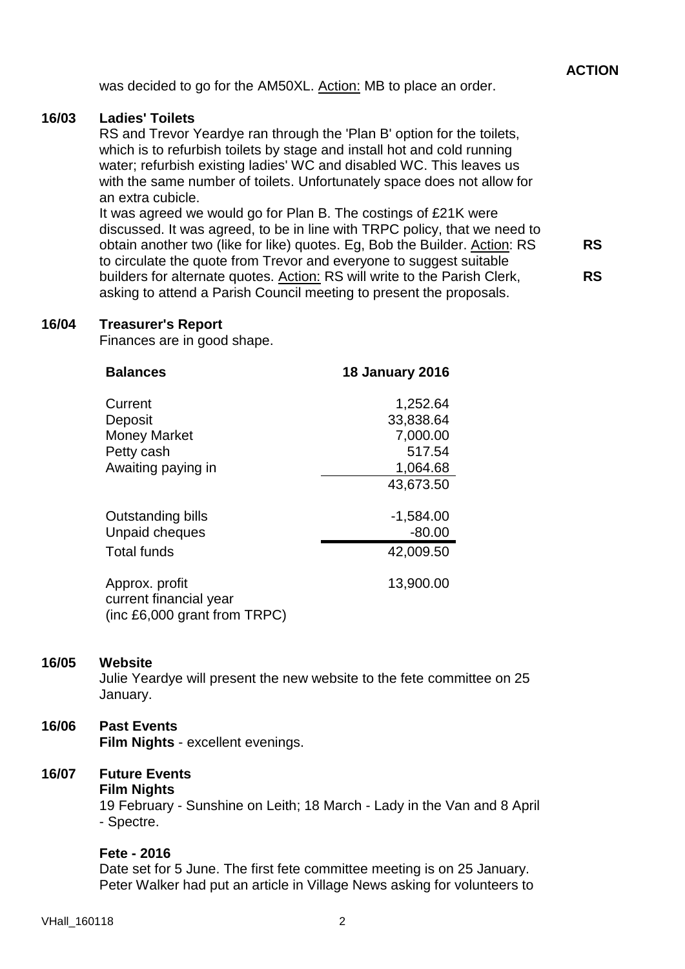was decided to go for the AM50XL. Action: MB to place an order.

### **16/03 Ladies' Toilets**

RS and Trevor Yeardye ran through the 'Plan B' option for the toilets, which is to refurbish toilets by stage and install hot and cold running water; refurbish existing ladies' WC and disabled WC. This leaves us with the same number of toilets. Unfortunately space does not allow for an extra cubicle.

It was agreed we would go for Plan B. The costings of £21K were discussed. It was agreed, to be in line with TRPC policy, that we need to obtain another two (like for like) quotes. Eg, Bob the Builder. Action: RS to circulate the quote from Trevor and everyone to suggest suitable builders for alternate quotes. Action: RS will write to the Parish Clerk, asking to attend a Parish Council meeting to present the proposals. **RS RS**

#### **16/04 Treasurer's Report**

Finances are in good shape.

| <b>Balances</b>                          | <b>18 January 2016</b> |
|------------------------------------------|------------------------|
| Current                                  | 1,252.64               |
| Deposit                                  | 33,838.64              |
| <b>Money Market</b>                      | 7,000.00               |
| Petty cash                               | 517.54                 |
| Awaiting paying in                       | 1,064.68               |
|                                          | 43,673.50              |
| Outstanding bills                        | $-1,584.00$            |
| Unpaid cheques                           | $-80.00$               |
| <b>Total funds</b>                       | 42,009.50              |
| Approx. profit<br>current financial year | 13,900.00              |
| (inc £6,000 grant from TRPC)             |                        |

#### **16/05 Website**

Julie Yeardye will present the new website to the fete committee on 25 January.

## **16/06 Past Events**

**Film Nights** - excellent evenings.

## **16/07 Future Events**

**Film Nights**

19 February - Sunshine on Leith; 18 March - Lady in the Van and 8 April - Spectre.

#### **Fete - 2016**

Date set for 5 June. The first fete committee meeting is on 25 January. Peter Walker had put an article in Village News asking for volunteers to